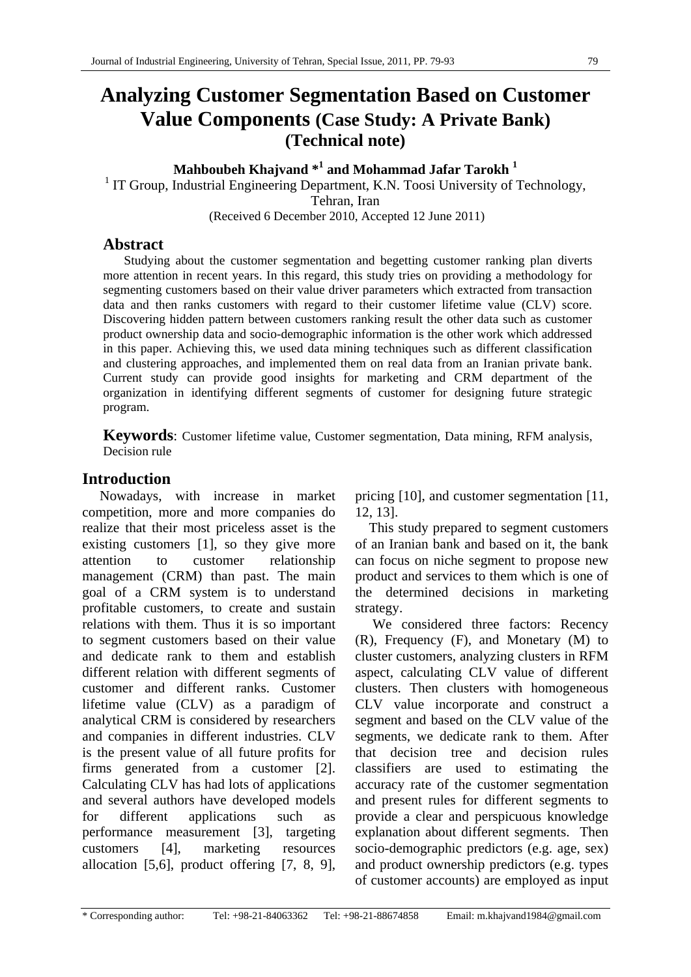## **Analyzing Customer Segmentation Based on Customer Value Components (Case Study: A Private Bank) (Technical note)**

# **Mahboubeh Khajvand**  $*^1$  **and Mohammad Jafar Tarokh<sup>1</sup><br><sup>1</sup> IT Group Industrial Engineering Department K N. Toosi University of 7**

<sup>1</sup> IT Group, Industrial Engineering Department, K.N. Toosi University of Technology, Tehran, Iran (Received 6 December 2010, Accepted 12 June 2011)

## **Abstract**

Studying about the customer segmentation and begetting customer ranking plan diverts more attention in recent years. In this regard, this study tries on providing a methodology for segmenting customers based on their value driver parameters which extracted from transaction data and then ranks customers with regard to their customer lifetime value (CLV) score. Discovering hidden pattern between customers ranking result the other data such as customer product ownership data and socio-demographic information is the other work which addressed in this paper. Achieving this, we used data mining techniques such as different classification and clustering approaches, and implemented them on real data from an Iranian private bank. Current study can provide good insights for marketing and CRM department of the organization in identifying different segments of customer for designing future strategic program.

**Keywords**: Customer lifetime value, Customer segmentation, Data mining, RFM analysis, Decision rule

## **Introduction**

 Nowadays, with increase in market competition, more and more companies do realize that their most priceless asset is the existing customers [1], so they give more attention to customer relationship management (CRM) than past. The main goal of a CRM system is to understand profitable customers, to create and sustain relations with them. Thus it is so important to segment customers based on their value and dedicate rank to them and establish different relation with different segments of customer and different ranks. Customer lifetime value (CLV) as a paradigm of analytical CRM is considered by researchers and companies in different industries. CLV is the present value of all future profits for firms generated from a customer [2]. Calculating CLV has had lots of applications and several authors have developed models for different applications such as performance measurement [3], targeting customers [4], marketing resources allocation [5,6], product offering [7, 8, 9],

pricing [10], and customer segmentation [11, 12, 13].

 This study prepared to segment customers of an Iranian bank and based on it, the bank can focus on niche segment to propose new product and services to them which is one of the determined decisions in marketing strategy.

 We considered three factors: Recency (R), Frequency (F), and Monetary (M) to cluster customers, analyzing clusters in RFM aspect, calculating CLV value of different clusters. Then clusters with homogeneous CLV value incorporate and construct a segment and based on the CLV value of the segments, we dedicate rank to them. After that decision tree and decision rules classifiers are used to estimating the accuracy rate of the customer segmentation and present rules for different segments to provide a clear and perspicuous knowledge explanation about different segments. Then socio-demographic predictors (e.g. age, sex) and product ownership predictors (e.g. types of customer accounts) are employed as input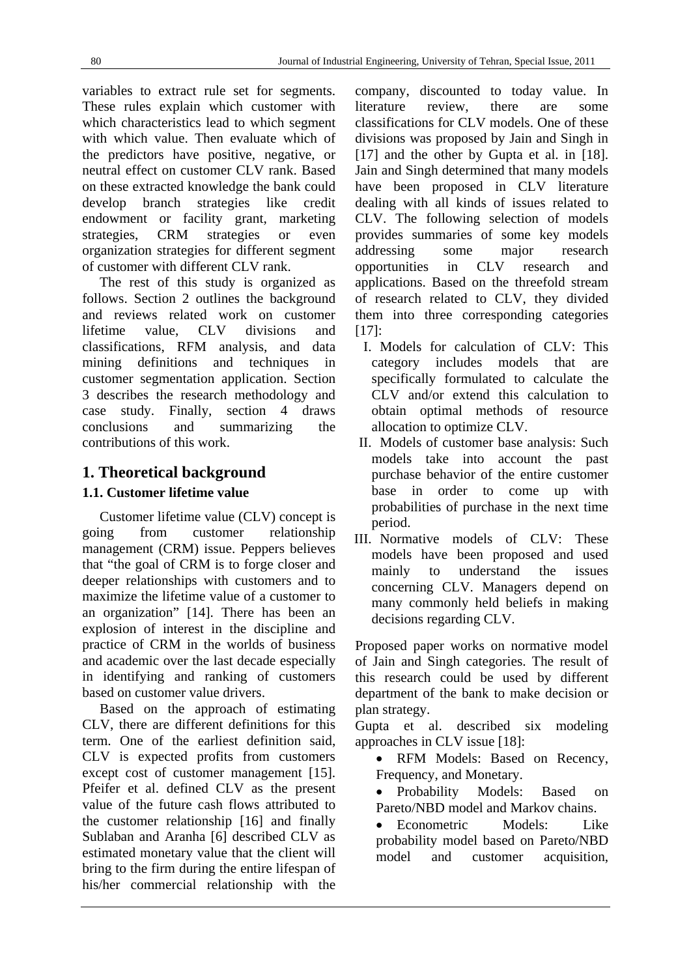variables to extract rule set for segments. These rules explain which customer with which characteristics lead to which segment with which value. Then evaluate which of the predictors have positive, negative, or neutral effect on customer CLV rank. Based on these extracted knowledge the bank could develop branch strategies like credit endowment or facility grant, marketing strategies, CRM strategies or even organization strategies for different segment of customer with different CLV rank.

 The rest of this study is organized as follows. Section 2 outlines the background and reviews related work on customer lifetime value, CLV divisions and classifications, RFM analysis, and data mining definitions and techniques in customer segmentation application. Section 3 describes the research methodology and case study. Finally, section 4 draws conclusions and summarizing the contributions of this work.

## **1. Theoretical background**

## **1.1. Customer lifetime value**

 Customer lifetime value (CLV) concept is going from customer relationship management (CRM) issue. Peppers believes that "the goal of CRM is to forge closer and deeper relationships with customers and to maximize the lifetime value of a customer to an organization" [14]. There has been an explosion of interest in the discipline and practice of CRM in the worlds of business and academic over the last decade especially in identifying and ranking of customers based on customer value drivers.

 Based on the approach of estimating CLV, there are different definitions for this term. One of the earliest definition said, CLV is expected profits from customers except cost of customer management [15]. Pfeifer et al. defined CLV as the present value of the future cash flows attributed to the customer relationship [16] and finally Sublaban and Aranha [6] described CLV as estimated monetary value that the client will bring to the firm during the entire lifespan of his/her commercial relationship with the company, discounted to today value. In literature review, there are some classifications for CLV models. One of these divisions was proposed by Jain and Singh in [17] and the other by Gupta et al. in [18]. Jain and Singh determined that many models have been proposed in CLV literature dealing with all kinds of issues related to CLV. The following selection of models provides summaries of some key models addressing some major research opportunities in CLV research and applications. Based on the threefold stream of research related to CLV, they divided them into three corresponding categories  $[17]$ :

- I. Models for calculation of CLV: This category includes models that are specifically formulated to calculate the CLV and/or extend this calculation to obtain optimal methods of resource allocation to optimize CLV.
- II. Models of customer base analysis: Such models take into account the past purchase behavior of the entire customer base in order to come up with probabilities of purchase in the next time period.
- III. Normative models of CLV: These models have been proposed and used mainly to understand the issues concerning CLV. Managers depend on many commonly held beliefs in making decisions regarding CLV.

Proposed paper works on normative model of Jain and Singh categories. The result of this research could be used by different department of the bank to make decision or plan strategy.

Gupta et al. described six modeling approaches in CLV issue [18]:

• RFM Models: Based on Recency, Frequency, and Monetary.

 Probability Models: Based on Pareto/NBD model and Markov chains.

• Econometric Models: Like probability model based on Pareto/NBD model and customer acquisition,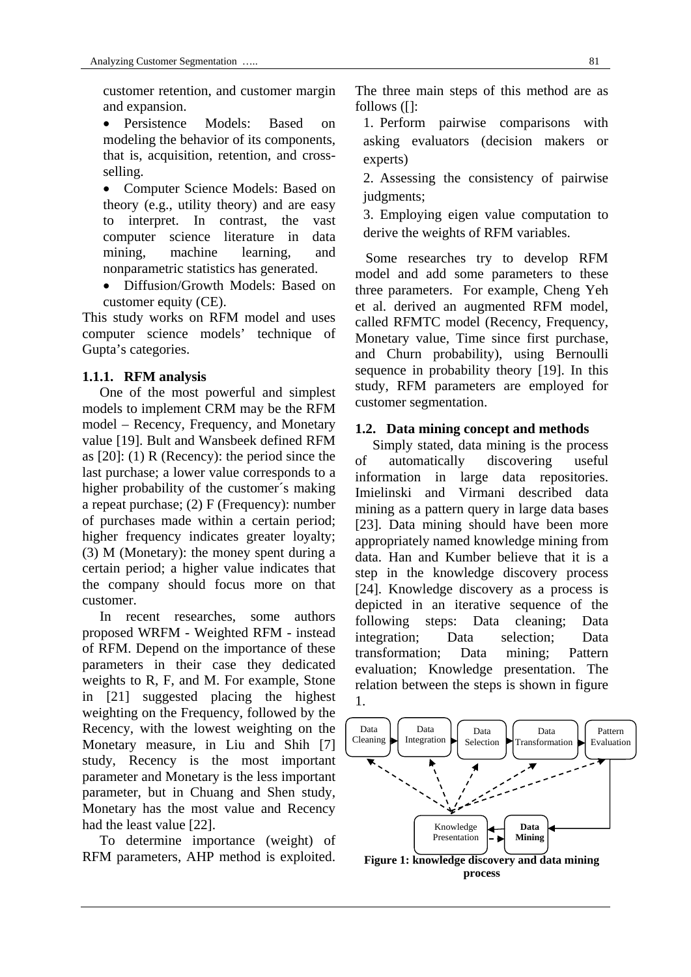customer retention, and customer margin and expansion.

 Persistence Models: Based on modeling the behavior of its components, that is, acquisition, retention, and crossselling.

• Computer Science Models: Based on theory (e.g., utility theory) and are easy to interpret. In contrast, the vast computer science literature in data mining, machine learning, and nonparametric statistics has generated.

 Diffusion/Growth Models: Based on customer equity (CE).

This study works on RFM model and uses computer science models' technique of Gupta's categories.

## **1.1.1. RFM analysis**

 One of the most powerful and simplest models to implement CRM may be the RFM model – Recency, Frequency, and Monetary value [19]. Bult and Wansbeek defined RFM as [20]: (1) R (Recency): the period since the last purchase; a lower value corresponds to a higher probability of the customer´s making a repeat purchase; (2) F (Frequency): number of purchases made within a certain period; higher frequency indicates greater loyalty; (3) M (Monetary): the money spent during a certain period; a higher value indicates that the company should focus more on that customer.

 In recent researches, some authors proposed WRFM - Weighted RFM - instead of RFM. Depend on the importance of these parameters in their case they dedicated weights to R, F, and M. For example, Stone in [21] suggested placing the highest weighting on the Frequency, followed by the Recency, with the lowest weighting on the Monetary measure, in Liu and Shih [7] study, Recency is the most important parameter and Monetary is the less important parameter, but in Chuang and Shen study, Monetary has the most value and Recency had the least value [22].

 To determine importance (weight) of RFM parameters, AHP method is exploited. The three main steps of this method are as follows ([]:

1. Perform pairwise comparisons with asking evaluators (decision makers or experts)

2. Assessing the consistency of pairwise judgments;

3. Employing eigen value computation to derive the weights of RFM variables.

 Some researches try to develop RFM model and add some parameters to these three parameters. For example, Cheng Yeh et al. derived an augmented RFM model, called RFMTC model (Recency, Frequency, Monetary value, Time since first purchase, and Churn probability), using Bernoulli sequence in probability theory [19]. In this study, RFM parameters are employed for customer segmentation.

## **1.2. Data mining concept and methods**

 Simply stated, data mining is the process of automatically discovering useful information in large data repositories. Imielinski and Virmani described data mining as a pattern query in large data bases [23]. Data mining should have been more appropriately named knowledge mining from data. Han and Kumber believe that it is a step in the knowledge discovery process [24]. Knowledge discovery as a process is depicted in an iterative sequence of the following steps: Data cleaning; Data integration; Data selection; Data transformation; Data mining; Pattern evaluation; Knowledge presentation. The relation between the steps is shown in figure 1.

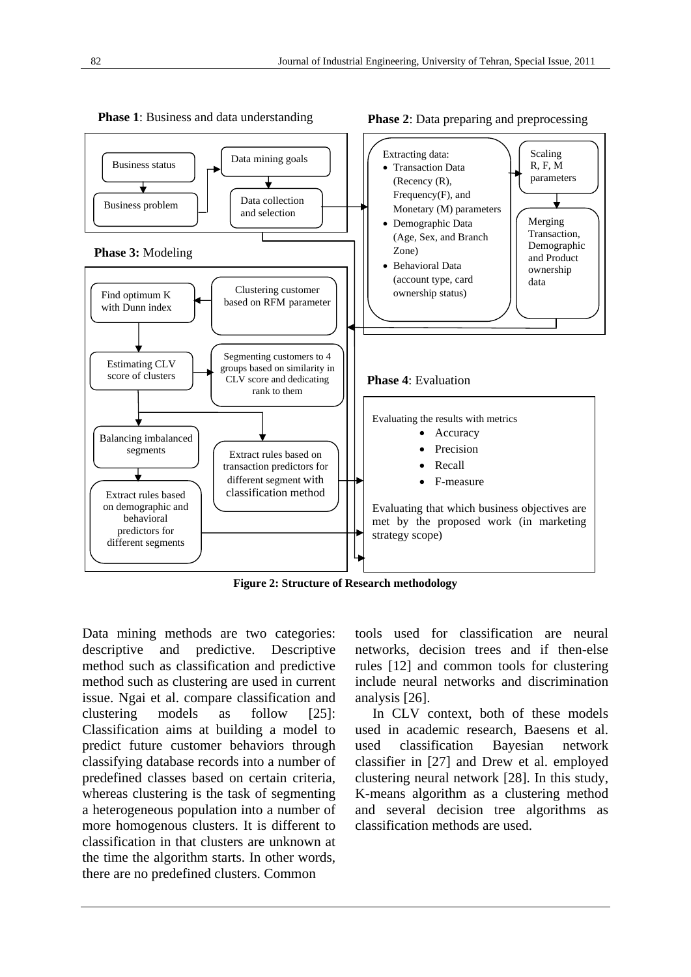

**Phase 1:** Business and data understanding

**Phase 2**: Data preparing and preprocessing

**Figure 2: Structure of Research methodology** 

Data mining methods are two categories: descriptive and predictive. Descriptive method such as classification and predictive method such as clustering are used in current issue. Ngai et al. compare classification and clustering models as follow [25]: Classification aims at building a model to predict future customer behaviors through classifying database records into a number of predefined classes based on certain criteria, whereas clustering is the task of segmenting a heterogeneous population into a number of more homogenous clusters. It is different to classification in that clusters are unknown at the time the algorithm starts. In other words, there are no predefined clusters. Common

tools used for classification are neural networks, decision trees and if then-else rules [12] and common tools for clustering include neural networks and discrimination analysis [26].

 In CLV context, both of these models used in academic research, Baesens et al. used classification Bayesian network classifier in [27] and Drew et al. employed clustering neural network [28]. In this study, K-means algorithm as a clustering method and several decision tree algorithms as classification methods are used.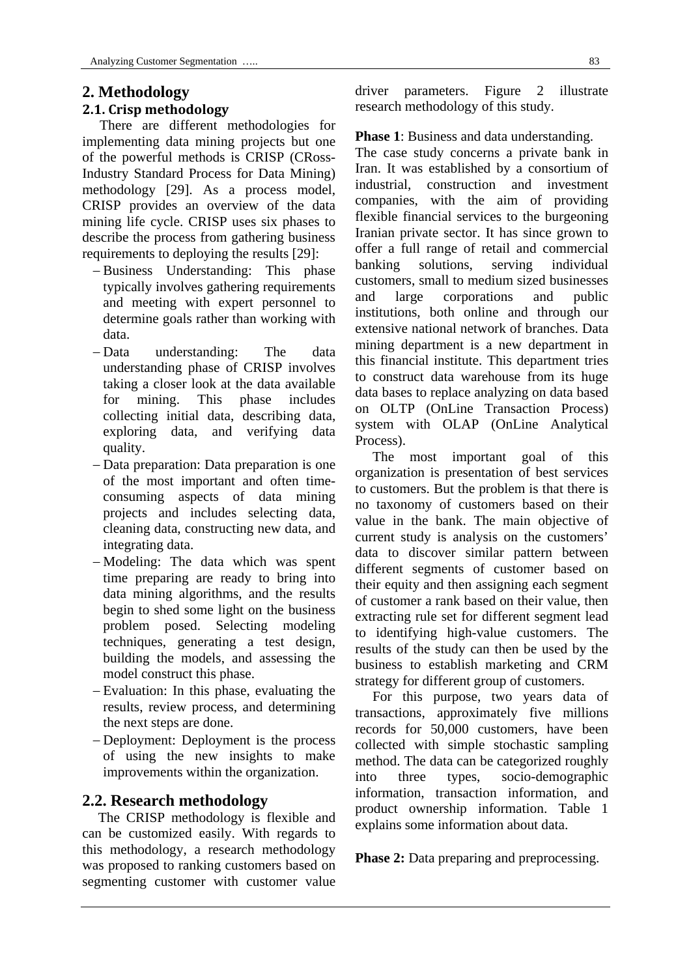## **2. Methodology**

## **2.1. Crisp methodology**

 There are different methodologies for implementing data mining projects but one of the powerful methods is CRISP (CRoss-Industry Standard Process for Data Mining) methodology [29]. As a process model, CRISP provides an overview of the data mining life cycle. CRISP uses six phases to describe the process from gathering business requirements to deploying the results [29]:

- Business Understanding: This phase typically involves gathering requirements and meeting with expert personnel to determine goals rather than working with data.
- Data understanding: The data understanding phase of CRISP involves taking a closer look at the data available for mining. This phase includes collecting initial data, describing data, exploring data, and verifying data quality.
- Data preparation: Data preparation is one of the most important and often timeconsuming aspects of data mining projects and includes selecting data, cleaning data, constructing new data, and integrating data.
- -Modeling: The data which was spent time preparing are ready to bring into data mining algorithms, and the results begin to shed some light on the business problem posed. Selecting modeling techniques, generating a test design, building the models, and assessing the model construct this phase.
- Evaluation: In this phase, evaluating the results, review process, and determining the next steps are done.
- Deployment: Deployment is the process of using the new insights to make improvements within the organization.

## **2.2. Research methodology**

 The CRISP methodology is flexible and can be customized easily. With regards to this methodology, a research methodology was proposed to ranking customers based on segmenting customer with customer value

driver parameters. Figure 2 illustrate research methodology of this study.

### **Phase 1:** Business and data understanding.

The case study concerns a private bank in Iran. It was established by a consortium of industrial, construction and investment companies, with the aim of providing flexible financial services to the burgeoning Iranian private sector. It has since grown to offer a full range of retail and commercial banking solutions, serving individual customers, small to medium sized businesses and large corporations and public institutions, both online and through our extensive national network of branches. Data mining department is a new department in this financial institute. This department tries to construct data warehouse from its huge data bases to replace analyzing on data based on OLTP (OnLine Transaction Process) system with OLAP (OnLine Analytical Process).

 The most important goal of this organization is presentation of best services to customers. But the problem is that there is no taxonomy of customers based on their value in the bank. The main objective of current study is analysis on the customers' data to discover similar pattern between different segments of customer based on their equity and then assigning each segment of customer a rank based on their value, then extracting rule set for different segment lead to identifying high-value customers. The results of the study can then be used by the business to establish marketing and CRM strategy for different group of customers.

 For this purpose, two years data of transactions, approximately five millions records for 50,000 customers, have been collected with simple stochastic sampling method. The data can be categorized roughly into three types, socio-demographic information, transaction information, and product ownership information. Table 1 explains some information about data.

**Phase 2:** Data preparing and preprocessing.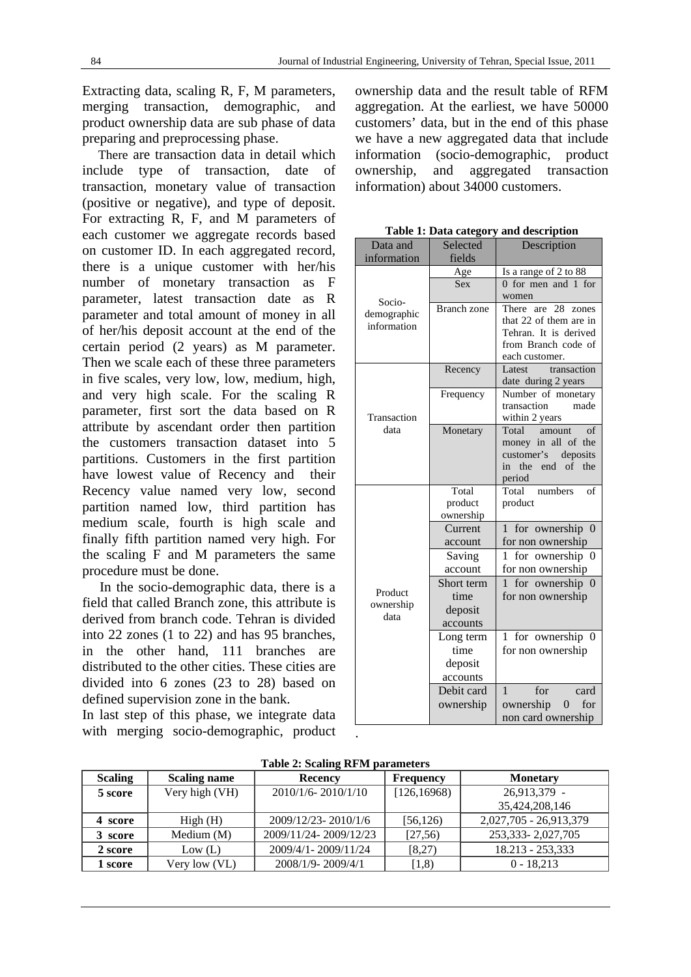Extracting data, scaling R, F, M parameters, merging transaction, demographic, and product ownership data are sub phase of data preparing and preprocessing phase.

 There are transaction data in detail which include type of transaction, date of transaction, monetary value of transaction (positive or negative), and type of deposit. For extracting R, F, and M parameters of each customer we aggregate records based on customer ID. In each aggregated record, there is a unique customer with her/his number of monetary transaction as F parameter, latest transaction date as R parameter and total amount of money in all of her/his deposit account at the end of the certain period (2 years) as M parameter. Then we scale each of these three parameters in five scales, very low, low, medium, high, and very high scale. For the scaling R parameter, first sort the data based on R attribute by ascendant order then partition the customers transaction dataset into 5 partitions. Customers in the first partition have lowest value of Recency and their Recency value named very low, second partition named low, third partition has medium scale, fourth is high scale and finally fifth partition named very high. For the scaling F and M parameters the same procedure must be done.

 In the socio-demographic data, there is a field that called Branch zone, this attribute is derived from branch code. Tehran is divided into 22 zones (1 to 22) and has 95 branches, in the other hand, 111 branches are distributed to the other cities. These cities are divided into 6 zones (23 to 28) based on defined supervision zone in the bank.

In last step of this phase, we integrate data with merging socio-demographic, product ownership data and the result table of RFM aggregation. At the earliest, we have 50000 customers' data, but in the end of this phase we have a new aggregated data that include information (socio-demographic, product ownership, and aggregated transaction information) about 34000 customers.

| Data and          | Selected           | Description                                  |  |  |
|-------------------|--------------------|----------------------------------------------|--|--|
| information       | fields             |                                              |  |  |
|                   | Age                | Is a range of 2 to 88                        |  |  |
|                   | <b>Sex</b>         | 0 for men and 1 for                          |  |  |
| Socio-            |                    | women                                        |  |  |
| demographic       | <b>Branch</b> zone | 28<br>There are<br>zones                     |  |  |
| information       |                    | that 22 of them are in                       |  |  |
|                   |                    | Tehran. It is derived<br>from Branch code of |  |  |
|                   |                    | each customer.                               |  |  |
|                   | Recency            | transaction<br>Latest                        |  |  |
|                   |                    | date during 2 years                          |  |  |
|                   | Frequency          | Number of monetary                           |  |  |
|                   |                    | transaction<br>made                          |  |  |
| Transaction       |                    | within 2 years                               |  |  |
| data              | Monetary           | Total<br>of<br>amount<br>money in all of the |  |  |
|                   |                    | customer's<br>deposits                       |  |  |
|                   |                    | the end of the<br>in                         |  |  |
|                   |                    | period                                       |  |  |
|                   | Total              | Total<br>numbers<br>of                       |  |  |
|                   | product            | product                                      |  |  |
|                   | ownership          |                                              |  |  |
|                   | Current            | for ownership 0<br>$\mathbf{1}$              |  |  |
|                   | account            | for non ownership                            |  |  |
|                   | Saving             | for ownership 0<br>1                         |  |  |
|                   | account            | for non ownership                            |  |  |
|                   | Short term         | 1 for ownership 0                            |  |  |
| Product           | time               | for non ownership                            |  |  |
| ownership<br>data | deposit            |                                              |  |  |
|                   | accounts           |                                              |  |  |
|                   | Long term          | 1 for ownership 0                            |  |  |
|                   | time               | for non ownership                            |  |  |
|                   | deposit            |                                              |  |  |
|                   | accounts           |                                              |  |  |
|                   | Debit card         | $\mathbf{1}$<br>for<br>card                  |  |  |
|                   | ownership          | ownership<br>$\mathbf{0}$<br>for             |  |  |
|                   |                    | non card ownership                           |  |  |
|                   |                    |                                              |  |  |

**Table 1: Data category and description** 

| <b>Scaling</b> | <b>Scaling name</b> | Recency               | <b>Frequency</b> | <b>Monetary</b>        |
|----------------|---------------------|-----------------------|------------------|------------------------|
| 5 score        | Very high (VH)      | 2010/1/6-2010/1/10    | [126, 16968]     | 26,913,379 -           |
|                |                     |                       |                  | 35,424,208,146         |
| 4 score        | High(H)             | 2009/12/23-2010/1/6   | [56, 126)        | 2,027,705 - 26,913,379 |
| 3 score        | Medium $(M)$        | 2009/11/24-2009/12/23 | [27,56]          | 253, 333 - 2, 027, 705 |
| 2 score        | Low (L)             | 2009/4/1 - 2009/11/24 | [8,27)           | 18.213 - 253.333       |
| 1 score        | Very low (VL)       | 2008/1/9-2009/4/1     | (1,8)            | $0 - 18.213$           |

**Table 2: Scaling RFM parameters**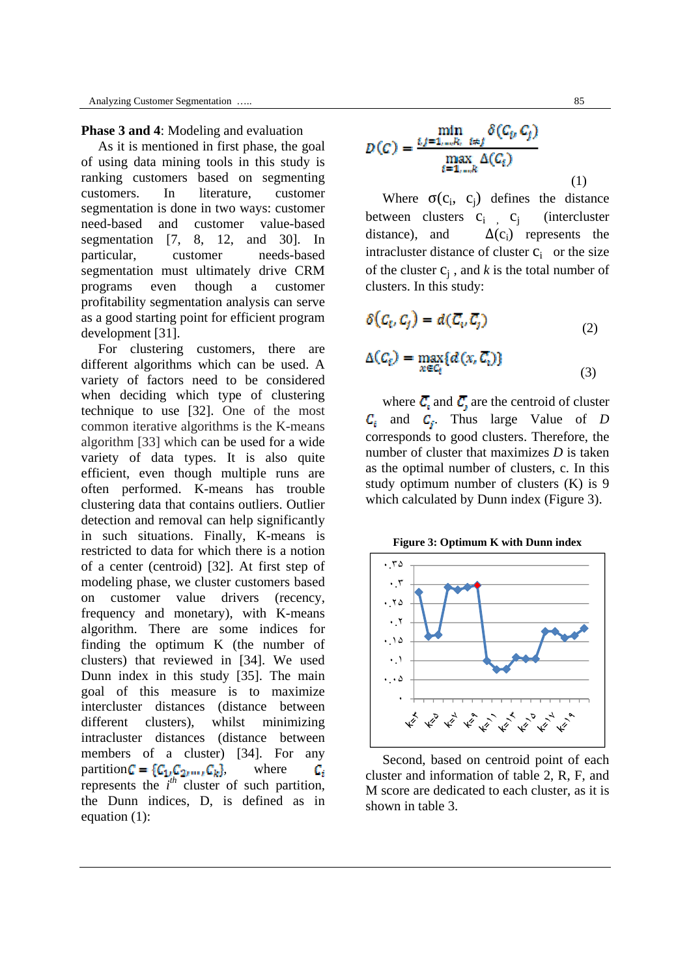#### **Phase 3 and 4**: Modeling and evaluation

 As it is mentioned in first phase, the goal of using data mining tools in this study is ranking customers based on segmenting customers. In literature, customer segmentation is done in two ways: customer need-based and customer value-based segmentation [7, 8, 12, and 30]. In particular, customer needs-based segmentation must ultimately drive CRM programs even though a customer profitability segmentation analysis can serve as a good starting point for efficient program development [31].

 For clustering customers, there are different algorithms which can be used. A variety of factors need to be considered when deciding which type of clustering technique to use [32]. One of the most common iterative algorithms is the K-means algorithm [33] which can be used for a wide variety of data types. It is also quite efficient, even though multiple runs are often performed. K-means has trouble clustering data that contains outliers. Outlier detection and removal can help significantly in such situations. Finally, K-means is restricted to data for which there is a notion of a center (centroid) [32]. At first step of modeling phase, we cluster customers based on customer value drivers (recency, frequency and monetary), with K-means algorithm. There are some indices for finding the optimum K (the number of clusters) that reviewed in [34]. We used Dunn index in this study [35]. The main goal of this measure is to maximize intercluster distances (distance between different clusters), whilst minimizing intracluster distances (distance between members of a cluster) [34]. For any partition  $C = \{C_1, C_2, ..., C_k\}$ , where Gr. represents the  $i^{th}$  cluster of such partition, the Dunn indices, D, is defined as in equation (1):

$$
D(C) = \frac{\min_{i,j=1,...,R_i} \delta(C_i, C_j)}{\max_{i=1,...,R} \Delta(C_i)}
$$
(1)

Where  $\sigma(c_i, c_i)$  defines the distance between clusters  $c_i$  ,  $c_i$  (intercluster distance), and  $\Delta(c_i)$  represents the intracluster distance of cluster  $c_i$  or the size of the cluster  $c_i$ , and *k* is the total number of clusters. In this study:

$$
\delta(C_i, C_j) = d(\overline{C_i}, \overline{C_j})
$$
\n(2)

$$
\Delta(C_{t}) = \max_{x \in C_{t}} \{d(x, \overline{C_{t}})\}\tag{3}
$$

where  $\overline{C}_i$  and  $\overline{C}_j$  are the centroid of cluster  $C_i$  and  $C_j$ . Thus large Value of *D* corresponds to good clusters. Therefore, the number of cluster that maximizes *D* is taken as the optimal number of clusters, c. In this study optimum number of clusters (K) is 9 which calculated by Dunn index (Figure 3).

**Figure 3: Optimum K with Dunn index** 



 Second, based on centroid point of each cluster and information of table 2, R, F, and M score are dedicated to each cluster, as it is shown in table 3.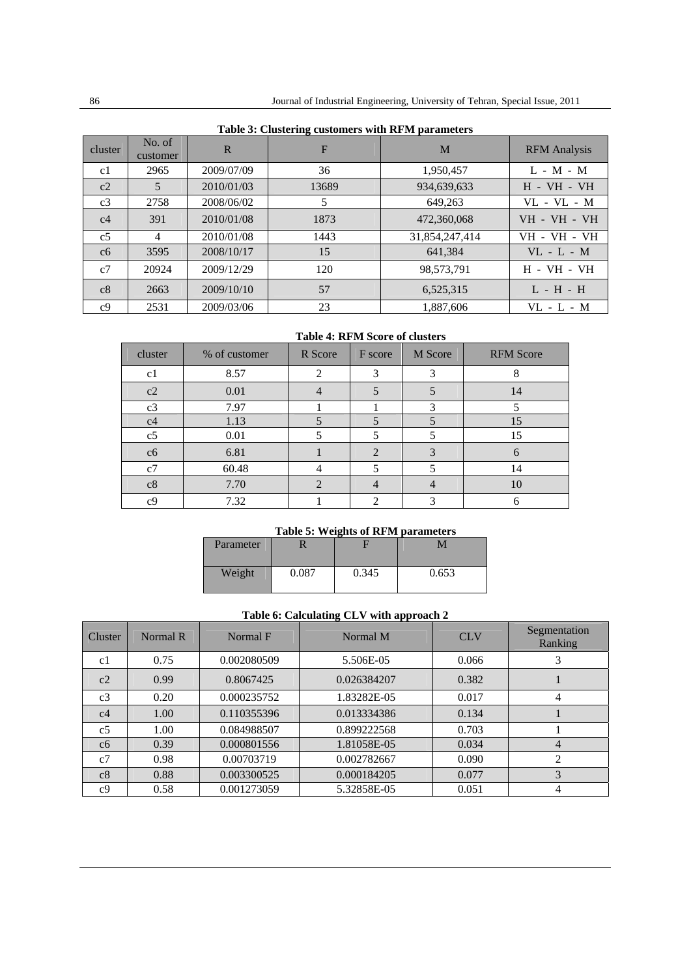| cluster        | No. of<br>customer | $\mathbf R$ | F     | M              | <b>RFM</b> Analysis              |
|----------------|--------------------|-------------|-------|----------------|----------------------------------|
| c1             | 2965               | 2009/07/09  | 36    | 1,950,457      | $L - M - M$                      |
| c2             | 5                  | 2010/01/03  | 13689 | 934,639,633    | $H - VH - VH$                    |
| c <sub>3</sub> | 2758               | 2008/06/02  | 5     | 649,263        | $VL - VL - M$                    |
| c4             | 391                | 2010/01/08  | 1873  | 472,360,068    | <b>VH - VH - VH</b>              |
| c <sub>5</sub> | $\overline{4}$     | 2010/01/08  | 1443  | 31,854,247,414 | <b>VH - VH - VH</b>              |
| c6             | 3595               | 2008/10/17  | 15    | 641,384        | $VL - L - M$                     |
| c7             | 20924              | 2009/12/29  | 120   | 98,573,791     | <b>H</b> - <b>VH</b> - <b>VH</b> |
| c8             | 2663               | 2009/10/10  | 57    | 6,525,315      | $L - H - H$                      |
| c <sub>9</sub> | 2531               | 2009/03/06  | 23    | 1.887.606      | $VL - L - M$                     |

### **Table 3: Clustering customers with RFM parameters**

#### **Table 4: RFM Score of clusters**

| cluster        | % of customer | R Score | F score                     | M Score | <b>RFM Score</b> |
|----------------|---------------|---------|-----------------------------|---------|------------------|
| c1             | 8.57          | ◠       | 3                           | 3       | 8                |
| c2             | 0.01          |         |                             |         | 14               |
| c3             | 7.97          |         |                             | 3       |                  |
| c <sub>4</sub> | 1.13          |         |                             |         | 15               |
| c5             | 0.01          |         |                             |         | 15               |
| c6             | 6.81          |         | $\mathcal{D}_{\mathcal{A}}$ | 3       | 6                |
| c7             | 60.48         |         |                             |         | 14               |
| c8             | 7.70          |         |                             |         | 10               |
| c <sub>9</sub> | 7.32          |         | ◠                           |         |                  |

#### **Table 5: Weights of RFM parameters**

| Parameter |       |       |       |
|-----------|-------|-------|-------|
| Weight    | 0.087 | 0.345 | 0.653 |

#### **Table 6: Calculating CLV with approach 2**

| Cluster        | Normal R | Normal F    | Normal M    | <b>CLV</b> | Segmentation<br>Ranking |
|----------------|----------|-------------|-------------|------------|-------------------------|
| c1             | 0.75     | 0.002080509 | 5.506E-05   | 0.066      | 3                       |
| c2             | 0.99     | 0.8067425   | 0.026384207 | 0.382      |                         |
| c3             | 0.20     | 0.000235752 | 1.83282E-05 | 0.017      | 4                       |
| c <sub>4</sub> | 1.00     | 0.110355396 | 0.013334386 | 0.134      |                         |
| c <sub>5</sub> | 1.00     | 0.084988507 | 0.899222568 | 0.703      |                         |
| c6             | 0.39     | 0.000801556 | 1.81058E-05 | 0.034      | 4                       |
| c7             | 0.98     | 0.00703719  | 0.002782667 | 0.090      | $\overline{c}$          |
| c8             | 0.88     | 0.003300525 | 0.000184205 | 0.077      | 3                       |
| c <sub>9</sub> | 0.58     | 0.001273059 | 5.32858E-05 | 0.051      | 4                       |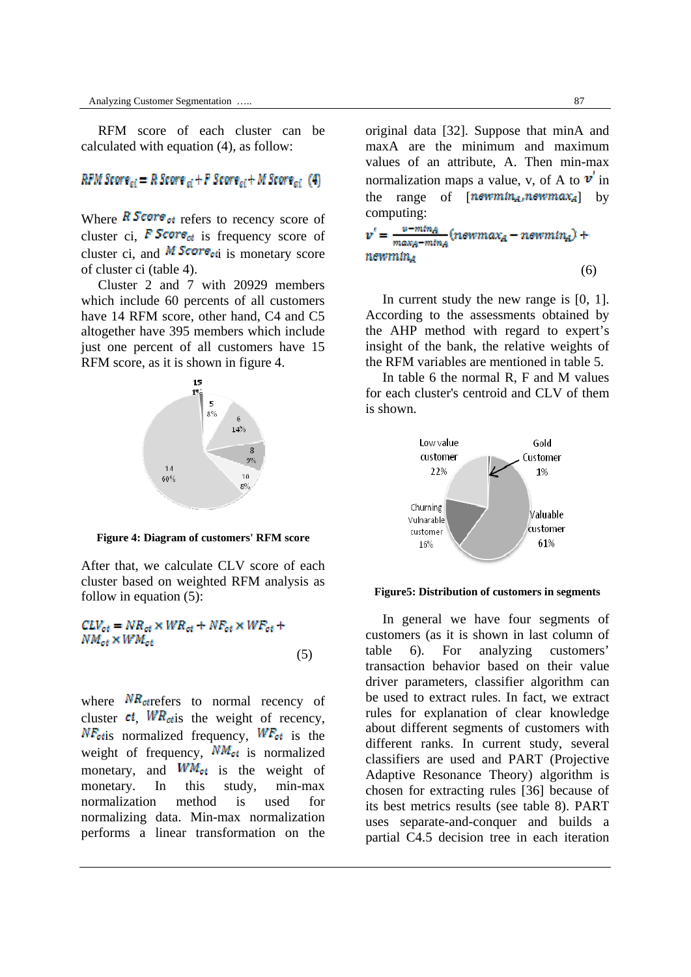RFM score of each cluster can be calculated with equation (4), as follow:

RFM Score<sub>ci</sub> = R Score<sub>ci</sub> + F Score<sub>ci</sub> + M Score<sub>ci</sub> (4)

Where  $\overline{R}$  Score<sub>ct</sub> refers to recency score of cluster ci, **F** Score<sub>ct</sub> is frequency score of cluster ci, and  $\overline{M}$  Score<sub>cti</sub> is monetary score of cluster ci (table 4).

 Cluster 2 and 7 with 20929 members which include 60 percents of all customers have 14 RFM score, other hand, C4 and C5 altogether have 395 members which include just one percent of all customers have 15 RFM score, as it is shown in figure 4.



**Figure 4: Diagram of customers' RFM score** 

After that, we calculate CLV score of each cluster based on weighted RFM analysis as follow in equation (5):

 $CLV_{ot} = NR_{ot} \times WR_{ot} + NF_{ot} \times WF_{ot} +$  $NM_{ot} \times W M_{ot}$ (5)

where  $NR_{\text{ot}$ refers to normal recency of cluster  $ci$ ,  $WR_{\text{otis}}$  the weight of recency,  $NF_{\text{otis}}$  normalized frequency,  $WF_{\text{otis}}$  is the weight of frequency,  $\overline{NM_{el}}$  is normalized monetary, and  $WW_{\text{ot}}$  is the weight of monetary. In this study, min-max normalization method is used for normalizing data. Min-max normalization performs a linear transformation on the

original data [32]. Suppose that minA and maxA are the minimum and maximum values of an attribute, A. Then min-max normalization maps a value, v, of A to  $v'$  in the range of  $[$  **new** mtn<sub>A</sub>, new max<sub>A</sub> by computing:

 $v' = \frac{v - m l n_A}{m \alpha \kappa_A - m l n_A} (newmax_A - newmin_A) +$ newmin4 (6)

In current study the new range is [0, 1]. According to the assessments obtained by the AHP method with regard to expert's insight of the bank, the relative weights of the RFM variables are mentioned in table 5.

 In table 6 the normal R, F and M values for each cluster's centroid and CLV of them is shown.



#### **Figure5: Distribution of customers in segments**

 In general we have four segments of customers (as it is shown in last column of table 6). For analyzing customers' transaction behavior based on their value driver parameters, classifier algorithm can be used to extract rules. In fact, we extract rules for explanation of clear knowledge about different segments of customers with different ranks. In current study, several classifiers are used and PART (Projective Adaptive Resonance Theory) algorithm is chosen for extracting rules [36] because of its best metrics results (see table 8). PART uses separate-and-conquer and builds a partial C4.5 decision tree in each iteration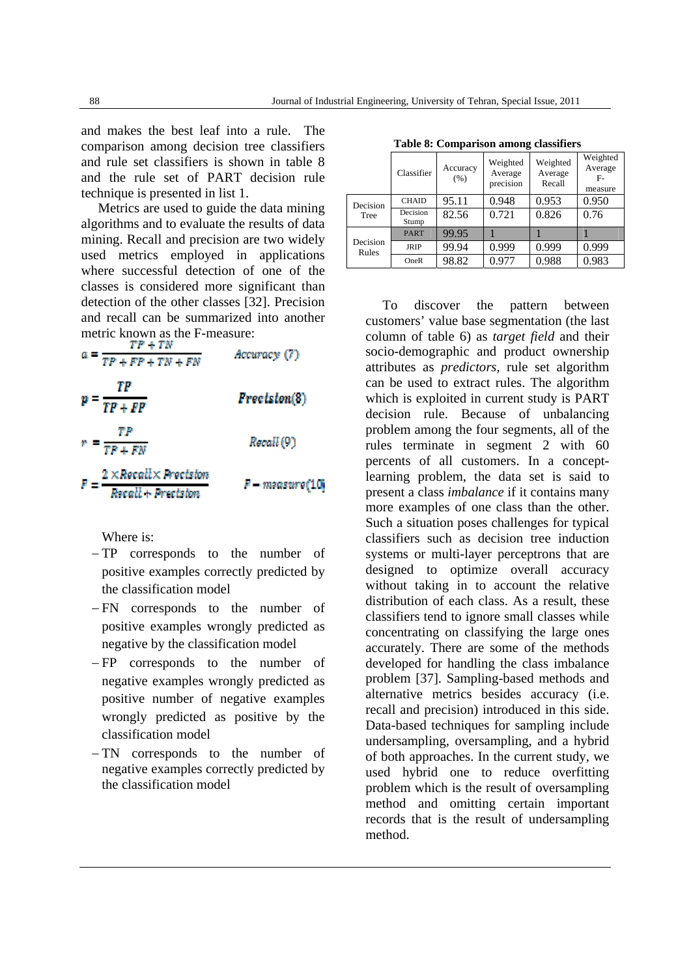and makes the best leaf into a rule. The comparison among decision tree classifiers and rule set classifiers is shown in table 8 and the rule set of PART decision rule technique is presented in list 1.

 Metrics are used to guide the data mining algorithms and to evaluate the results of data mining. Recall and precision are two widely used metrics employed in applications where successful detection of one of the classes is considered more significant than detection of the other classes [32]. Precision and recall can be summarized into another metric known as the F-measure:<br> $\frac{TP + TN}{+TN}$ 

Accuracy (7)  $TP + FP + TN + FN$  $p = \frac{TP}{TP + FP}$ Precision(8)  $r = \frac{TP}{TP + FN}$ Recall (9)  $F = \frac{2 \times Recall \times Precision}{100}$ F – measure(10)

Where is:

- TP corresponds to the number of positive examples correctly predicted by the classification model
- FN corresponds to the number of positive examples wrongly predicted as negative by the classification model
- FP corresponds to the number of negative examples wrongly predicted as positive number of negative examples wrongly predicted as positive by the classification model
- TN corresponds to the number of negative examples correctly predicted by the classification model

| <b>Table 8: Comparison among classifiers</b> |  |  |
|----------------------------------------------|--|--|
|----------------------------------------------|--|--|

|                   | Classifier        | Accuracy<br>(% ) | Weighted<br>Average<br>precision | Weighted<br>Average<br>Recall | Weighted<br>Average<br>$F-$<br>measure |
|-------------------|-------------------|------------------|----------------------------------|-------------------------------|----------------------------------------|
| Decision          | <b>CHAID</b>      | 95.11            | 0.948                            | 0.953                         | 0.950                                  |
| Tree              | Decision<br>Stump | 82.56            | 0.721                            | 0.826                         | 0.76                                   |
|                   | <b>PART</b>       | 99.95            |                                  |                               |                                        |
| Decision<br>Rules | <b>JRIP</b>       | 99.94            | 0.999                            | 0.999                         | 0.999                                  |
|                   | OneR              | 98.82            | 0.977                            | 0.988                         | 0.983                                  |

 To discover the pattern between customers' value base segmentation (the last column of table 6) as *target field* and their socio-demographic and product ownership attributes as *predictors*, rule set algorithm can be used to extract rules. The algorithm which is exploited in current study is PART decision rule. Because of unbalancing problem among the four segments, all of the rules terminate in segment 2 with 60 percents of all customers. In a conceptlearning problem, the data set is said to present a class *imbalance* if it contains many more examples of one class than the other. Such a situation poses challenges for typical classifiers such as decision tree induction systems or multi-layer perceptrons that are designed to optimize overall accuracy without taking in to account the relative distribution of each class. As a result, these classifiers tend to ignore small classes while concentrating on classifying the large ones accurately. There are some of the methods developed for handling the class imbalance problem [37]. Sampling-based methods and alternative metrics besides accuracy (i.e. recall and precision) introduced in this side. Data-based techniques for sampling include undersampling, oversampling, and a hybrid of both approaches. In the current study, we used hybrid one to reduce overfitting problem which is the result of oversampling method and omitting certain important records that is the result of undersampling method.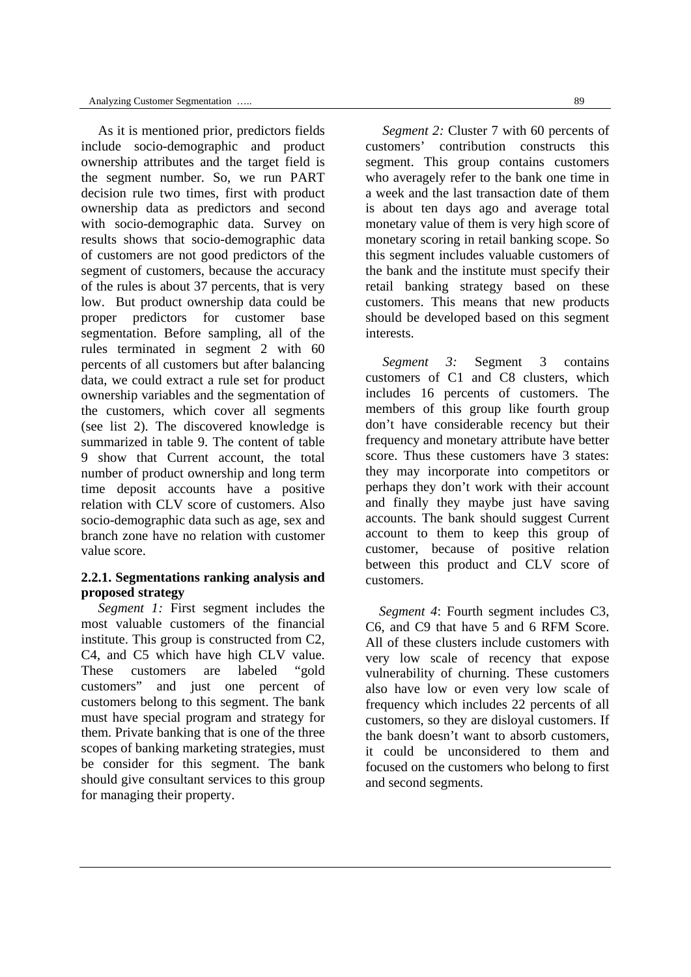As it is mentioned prior, predictors fields include socio-demographic and product ownership attributes and the target field is the segment number. So, we run PART decision rule two times, first with product ownership data as predictors and second with socio-demographic data. Survey on results shows that socio-demographic data of customers are not good predictors of the segment of customers, because the accuracy of the rules is about 37 percents, that is very low. But product ownership data could be proper predictors for customer base segmentation. Before sampling, all of the rules terminated in segment 2 with 60 percents of all customers but after balancing data, we could extract a rule set for product ownership variables and the segmentation of the customers, which cover all segments (see list 2). The discovered knowledge is summarized in table 9. The content of table 9 show that Current account, the total number of product ownership and long term time deposit accounts have a positive relation with CLV score of customers. Also socio-demographic data such as age, sex and branch zone have no relation with customer value score.

#### **2.2.1. Segmentations ranking analysis and proposed strategy**

*Segment 1:* First segment includes the most valuable customers of the financial institute. This group is constructed from C2, C4, and C5 which have high CLV value. These customers are labeled "gold customers" and just one percent of customers belong to this segment. The bank must have special program and strategy for them. Private banking that is one of the three scopes of banking marketing strategies, must be consider for this segment. The bank should give consultant services to this group for managing their property.

*Segment 2:* Cluster 7 with 60 percents of customers' contribution constructs this segment. This group contains customers who averagely refer to the bank one time in a week and the last transaction date of them is about ten days ago and average total monetary value of them is very high score of monetary scoring in retail banking scope. So this segment includes valuable customers of the bank and the institute must specify their retail banking strategy based on these customers. This means that new products should be developed based on this segment interests.

 *Segment 3:* Segment 3 contains customers of C1 and C8 clusters, which includes 16 percents of customers. The members of this group like fourth group don't have considerable recency but their frequency and monetary attribute have better score. Thus these customers have 3 states: they may incorporate into competitors or perhaps they don't work with their account and finally they maybe just have saving accounts. The bank should suggest Current account to them to keep this group of customer, because of positive relation between this product and CLV score of customers.

 *Segment 4*: Fourth segment includes C3, C6, and C9 that have 5 and 6 RFM Score. All of these clusters include customers with very low scale of recency that expose vulnerability of churning. These customers also have low or even very low scale of frequency which includes 22 percents of all customers, so they are disloyal customers. If the bank doesn't want to absorb customers, it could be unconsidered to them and focused on the customers who belong to first and second segments.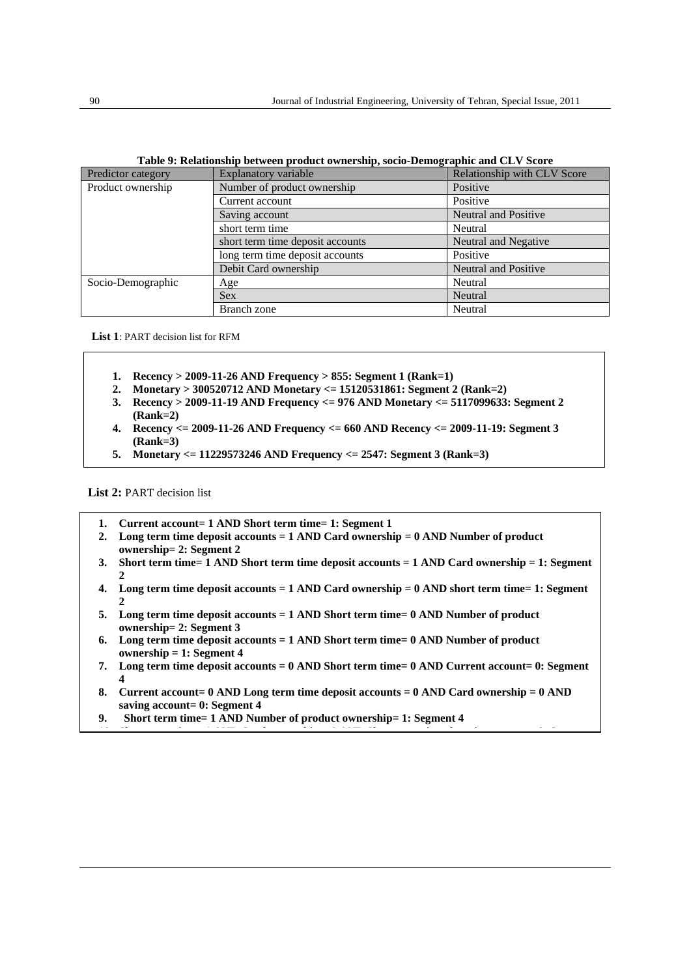| Predictor category | <b>Explanatory variable</b>      | Relationship with CLV Score |  |
|--------------------|----------------------------------|-----------------------------|--|
| Product ownership  | Number of product ownership      | Positive                    |  |
|                    | Current account                  | Positive                    |  |
|                    | Saving account                   | <b>Neutral and Positive</b> |  |
|                    | short term time                  | Neutral                     |  |
|                    | short term time deposit accounts | Neutral and Negative        |  |
|                    | long term time deposit accounts  | Positive                    |  |
|                    | Debit Card ownership             | <b>Neutral and Positive</b> |  |
| Socio-Demographic  | Age                              | Neutral                     |  |
|                    | <b>Sex</b>                       | Neutral                     |  |
|                    | Branch zone                      | Neutral                     |  |

| Table 9: Relationship between product ownership, socio-Demographic and CLV Score |  |  |  |  |  |  |
|----------------------------------------------------------------------------------|--|--|--|--|--|--|
|----------------------------------------------------------------------------------|--|--|--|--|--|--|

**List 1**: PART decision list for RFM

- **1. Recency > 2009-11-26 AND Frequency > 855: Segment 1 (Rank=1)**
- **2. Monetary > 300520712 AND Monetary <= 15120531861: Segment 2 (Rank=2)**
- **3. Recency > 2009-11-19 AND Frequency <= 976 AND Monetary <= 5117099633: Segment 2 (Rank=2)**
- **4. Recency <= 2009-11-26 AND Frequency <= 660 AND Recency <= 2009-11-19: Segment 3 (Rank=3)**
- **5. Monetary <= 11229573246 AND Frequency <= 2547: Segment 3 (Rank=3)**

**List 2:** PART decision list

- **1. Current account= 1 AND Short term time= 1: Segment 1**
- **2. Long term time deposit accounts = 1 AND Card ownership = 0 AND Number of product ownership= 2: Segment 2**
- **3. Short term time= 1 AND Short term time deposit accounts = 1 AND Card ownership = 1: Segment**   $\alpha$
- **4. Long term time deposit accounts = 1 AND Card ownership = 0 AND short term time= 1: Segment**   $\alpha$
- **5. Long term time deposit accounts = 1 AND Short term time= 0 AND Number of product ownership= 2: Segment 3**
- **6. Long term time deposit accounts = 1 AND Short term time= 0 AND Number of product ownership = 1: Segment 4**
- **7. Long term time deposit accounts = 0 AND Short term time= 0 AND Current account= 0: Segment 4**
- **8. Current account= 0 AND Long term time deposit accounts = 0 AND Card ownership = 0 AND saving account= 0: Segment 4**

**10 Sh i 1 AND C d hi 0 AND Sh i d i 0 S**

**9. Short term time= 1 AND Number of product ownership= 1: Segment 4**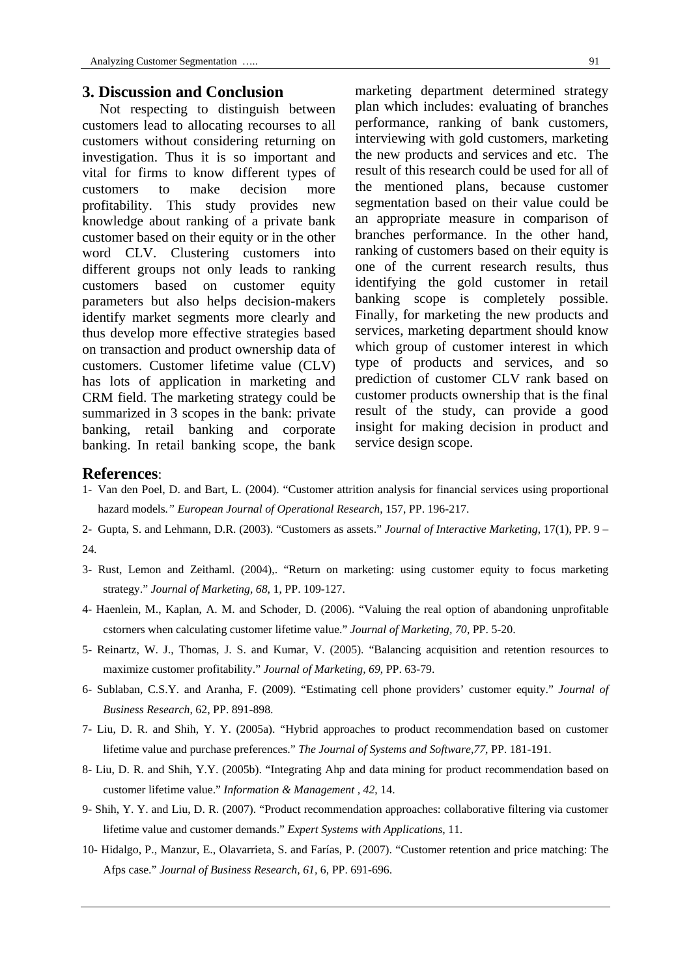### **3. Discussion and Conclusion**

 Not respecting to distinguish between customers lead to allocating recourses to all customers without considering returning on investigation. Thus it is so important and vital for firms to know different types of customers to make decision more profitability. This study provides new knowledge about ranking of a private bank customer based on their equity or in the other word CLV. Clustering customers into different groups not only leads to ranking customers based on customer equity parameters but also helps decision-makers identify market segments more clearly and thus develop more effective strategies based on transaction and product ownership data of customers. Customer lifetime value (CLV) has lots of application in marketing and CRM field. The marketing strategy could be summarized in 3 scopes in the bank: private banking, retail banking and corporate banking. In retail banking scope, the bank

marketing department determined strategy plan which includes: evaluating of branches performance, ranking of bank customers, interviewing with gold customers, marketing the new products and services and etc. The result of this research could be used for all of the mentioned plans, because customer segmentation based on their value could be an appropriate measure in comparison of branches performance. In the other hand, ranking of customers based on their equity is one of the current research results, thus identifying the gold customer in retail banking scope is completely possible. Finally, for marketing the new products and services, marketing department should know which group of customer interest in which type of products and services, and so prediction of customer CLV rank based on customer products ownership that is the final result of the study, can provide a good insight for making decision in product and service design scope.

#### **References**:

- 1- Van den Poel, D. and Bart, L. (2004). "Customer attrition analysis for financial services using proportional hazard models*." European Journal of Operational Research*, 157, PP. 196-217.
- 2- Gupta, S. and Lehmann, D.R. (2003). "Customers as assets." *Journal of Interactive Marketing*, 17(1), PP. 9 24.
- 3- Rust, Lemon and Zeithaml. (2004),. "Return on marketing: using customer equity to focus marketing strategy." *Journal of Marketing, 68*, 1, PP. 109-127.
- 4- Haenlein, M., Kaplan, A. M. and Schoder, D. (2006). "Valuing the real option of abandoning unprofitable cstorners when calculating customer lifetime value." *Journal of Marketing, 70*, PP. 5-20.
- 5- Reinartz, W. J., Thomas, J. S. and Kumar, V. (2005). "Balancing acquisition and retention resources to maximize customer profitability." *Journal of Marketing, 69*, PP. 63-79.
- 6- Sublaban, C.S.Y. and Aranha, F. (2009). "Estimating cell phone providers' customer equity." *Journal of Business Research*, 62, PP. 891-898.
- 7- Liu, D. R. and Shih, Y. Y. (2005a). "Hybrid approaches to product recommendation based on customer lifetime value and purchase preferences." *The Journal of Systems and Software,77*, PP. 181-191.
- 8- Liu, D. R. and Shih, Y.Y. (2005b). "Integrating Ahp and data mining for product recommendation based on customer lifetime value." *Information & Management , 42*, 14.
- 9- Shih, Y. Y. and Liu, D. R. (2007). "Product recommendation approaches: collaborative filtering via customer lifetime value and customer demands." *Expert Systems with Applications*, 11.
- 10- Hidalgo, P., Manzur, E., Olavarrieta, S. and Farías, P. (2007). "Customer retention and price matching: The Afps case." *Journal of Business Research, 61,* 6, PP. 691-696.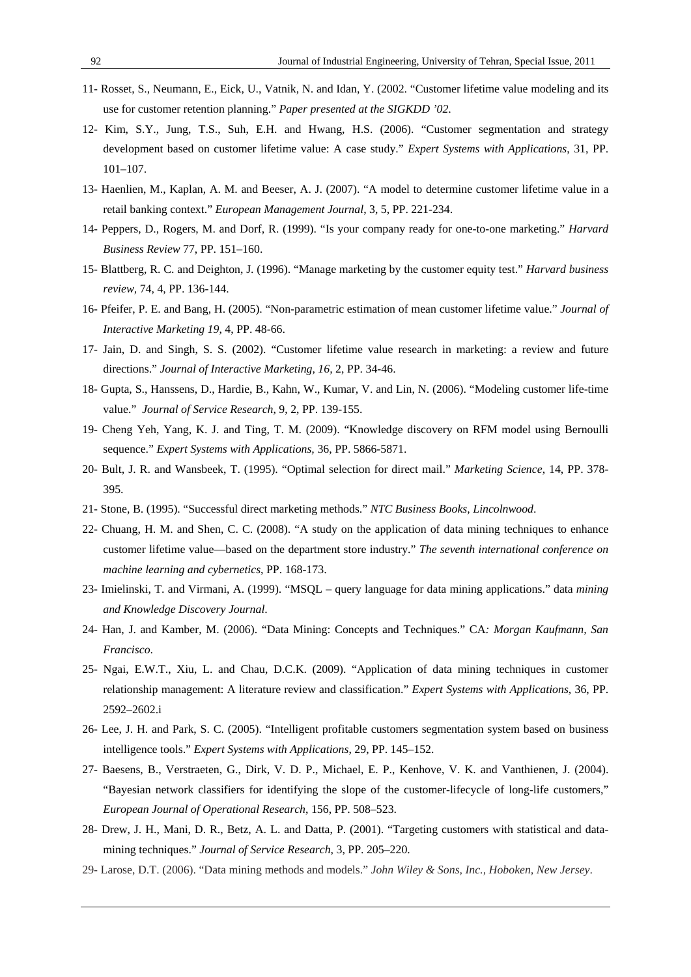- 11- Rosset, S., Neumann, E., Eick, U., Vatnik, N. and Idan, Y. (2002. "Customer lifetime value modeling and its use for customer retention planning." *Paper presented at the SIGKDD '02*.
- 12- Kim, S.Y., Jung, T.S., Suh, E.H. and Hwang, H.S. (2006). "Customer segmentation and strategy development based on customer lifetime value: A case study." *Expert Systems with Applications*, 31, PP. 101–107.
- 13- Haenlien, M., Kaplan, A. M. and Beeser, A. J. (2007). "A model to determine customer lifetime value in a retail banking context." *European Management Journal*, 3, 5, PP. 221-234.
- 14- Peppers, D., Rogers, M. and Dorf, R. (1999). "Is your company ready for one-to-one marketing." *Harvard Business Review* 77, PP. 151–160.
- 15- Blattberg, R. C. and Deighton, J. (1996). "Manage marketing by the customer equity test." *Harvard business review,* 74, 4, PP. 136-144.
- 16- Pfeifer, P. E. and Bang, H. (2005). "Non-parametric estimation of mean customer lifetime value." *Journal of Interactive Marketing 19*, 4, PP. 48-66.
- 17- Jain, D. and Singh, S. S. (2002). "Customer lifetime value research in marketing: a review and future directions." *Journal of Interactive Marketing, 16,* 2, PP. 34-46.
- 18- Gupta, S., Hanssens, D., Hardie, B., Kahn, W., Kumar, V. and Lin, N. (2006). "Modeling customer life-time value." *Journal of Service Research*, 9, 2, PP. 139-155.
- 19- Cheng Yeh, Yang, K. J. and Ting, T. M. (2009). "Knowledge discovery on RFM model using Bernoulli sequence." *Expert Systems with Applications,* 36, PP. 5866-5871.
- 20- Bult, J. R. and Wansbeek, T. (1995). "Optimal selection for direct mail." *Marketing Science*, 14, PP. 378- 395.
- 21- Stone, B. (1995). "Successful direct marketing methods." *NTC Business Books, Lincolnwood*.
- 22- Chuang, H. M. and Shen, C. C. (2008). "A study on the application of data mining techniques to enhance customer lifetime value—based on the department store industry." *The seventh international conference on machine learning and cybernetics*, PP. 168-173.
- 23- Imielinski, T. and Virmani, A. (1999). "MSQL query language for data mining applications." data *mining and Knowledge Discovery Journal*.
- 24- Han, J. and Kamber, M. (2006). "Data Mining: Concepts and Techniques." CA*: Morgan Kaufmann, San Francisco*.
- 25- Ngai, E.W.T., Xiu, L. and Chau, D.C.K. (2009). "Application of data mining techniques in customer relationship management: A literature review and classification." *Expert Systems with Applications*, 36, PP. 2592–2602.i
- 26- Lee, J. H. and Park, S. C. (2005). "Intelligent profitable customers segmentation system based on business intelligence tools." *Expert Systems with Applications*, 29, PP. 145–152.
- 27- Baesens, B., Verstraeten, G., Dirk, V. D. P., Michael, E. P., Kenhove, V. K. and Vanthienen, J. (2004). "Bayesian network classifiers for identifying the slope of the customer-lifecycle of long-life customers," *European Journal of Operational Research*, 156, PP. 508–523.
- 28- Drew, J. H., Mani, D. R., Betz, A. L. and Datta, P. (2001). "Targeting customers with statistical and datamining techniques." *Journal of Service Research*, 3, PP. 205–220.
- 29- Larose, D.T. (2006). "Data mining methods and models." *John Wiley & Sons, Inc., Hoboken, New Jersey*.